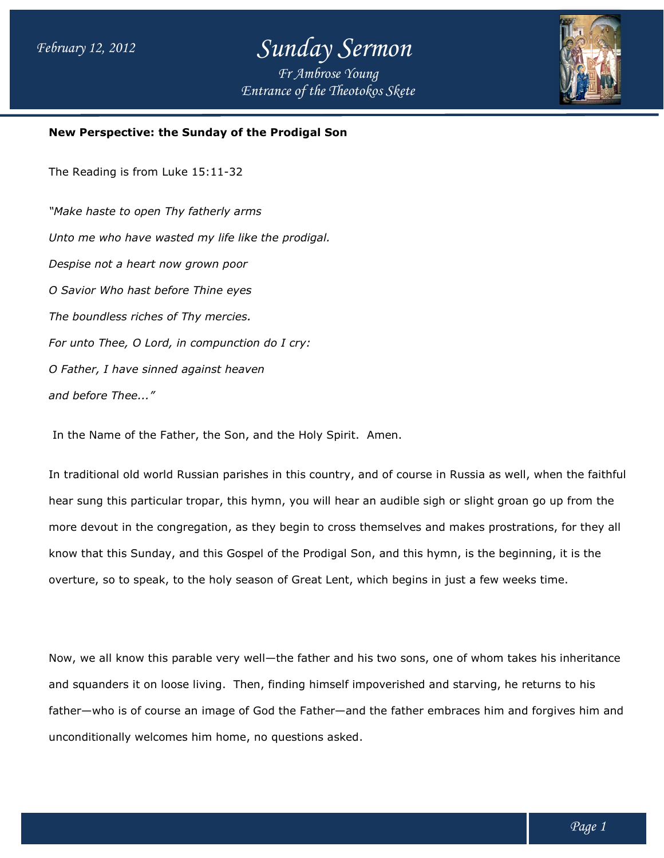# *Sunday Sermon*

*Entrance of the Theotokos Skete Fr Ambrose Young*



#### **New Perspective: the Sunday of the Prodigal Son of the Son**

The Reading is from Luke 15:11-32

*"Make haste to open Thy fatherly arms Unto me who have wasted my life like the prodigal. Despise not a heart now grown poor O Savior Who hast before Thine eyes The boundless riches of Thy mercies. For unto Thee, O Lord, in compunction do I cry: O Father, I have sinned against heaven and before Thee..."* Unto me who have wasted my life like the prodigal.<br>Despise not a heart now grown poor<br>O Savior Who hast before Thine eyes<br>The boundless riches of Thy mercies.<br>For unto Thee, O Lord, in compunction do I cry:<br>O Father, I hav

In the Name of the Father, the Son, and the Holy Spirit. In the Son, and the Spirit. Amen.

In traditional old world Russian parishes in this country, and of course in Russia as well, when the faithful hear sung this particular tropar, this hymn, you will hear an audible sigh or slight groan go up from the In traditional old world Russian parishes in this country, and of course in Russia as well, when the faithful<br>hear sung this particular tropar, this hymn, you will hear an audible sigh or slight groan go up from the<br>more d know that this Sunday, and this Gospel of the Prodigal Son, and this hymn, is the beginning, it is the overture, so to speak, to the holy season of Great Lent, which begins in just a few weeks time. that this Sunday, and this Gospel of the Prodigal Son, and this hymn, is the beginning, it is the<br>ure, so to speak, to the holy season of Great Lent, which begins in just a few weeks time.<br>we all know this parable very wel

Now, we all know this parable very well—the father and his two sons, one of whom takes his inheritance and squanders it on loose living. Then, finding himself impoverished and starving, he returns to his and squanders it on loose living. Then, finding himself impoverished and starving, he returns to his<br>father—who is of course an image of God the Father—and the father embraces him and forgives him and unconditionally welcomes him home, no questions asked. begin to cross themselves and makes prostrations,<br>
if the Prodigal Son, and this hymn, is the beginning,<br>
of Great Lent, which begins in just a few weeks time<br>
the father and his two sons, one of whom takes his<br>
inding him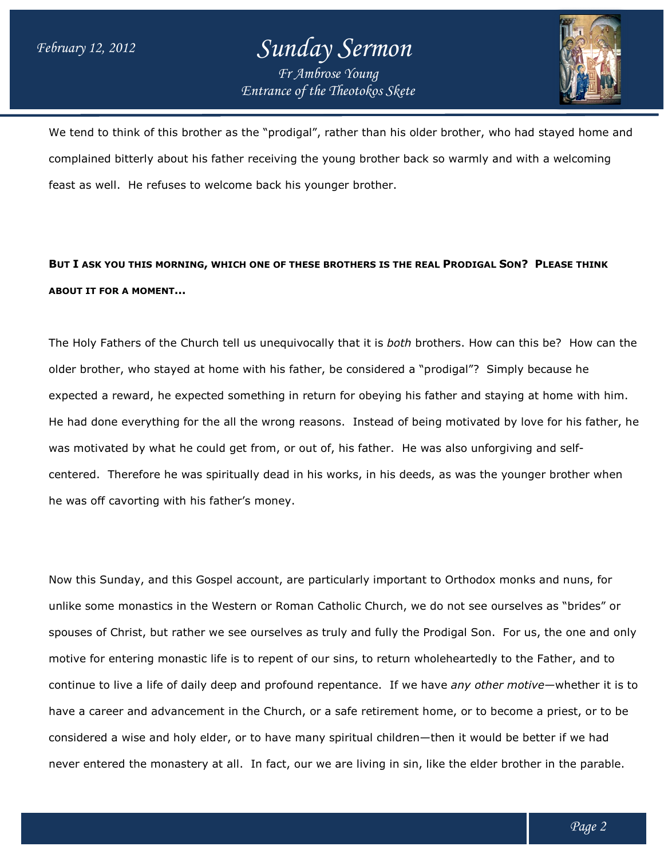### *Entrance of the Theotokos Skete Sunday Sermon Fr Ambrose Young*



We tend to think of this brother as the "prodigal", rather than his older brother, who had stayed home and We tend to think of this brother as the "prodigal", rather than his older brother, who had stayed home a<br>complained bitterly about his father receiving the young brother back so warmly and with a welcoming feast as well. He refuses to welcome back his younger brother. brother.

#### **BUT I ASK YOU THIS MORNING, WHICH ONE OF THESE B OF THESE BROTHERS IS THE REAL PRODIGAL RODIGAL SON? PLEASE THINK ABOUT IT FOR A MOMENT…**

The Holy Fathers of the Church tell us unequivocally that it is *both* brothers. How can this be? How can the older brother, who stayed at home with his father, be considered a "prodigal"? Simply because he expected a reward, he expected something in return for obeying his father and staying at home with him. He had done everything for the all the wrong reasons. Instead of being motivated by love for his father, he was motivated by what he could get from, or out of, his father. father. He was also unforgiving and self centered. Therefore he was spiritually dead in his works, in his deeds, as was the younger brother when he was off cavorting with his father's money. obeying his father and staying at home w<br>Instead of being motivated by love for his<br>Father. He was also unforgiving and self-

Now this Sunday, and this Gospel account, are particularly important to Orthodox monks and nuns, for unlike some monastics in the Western or Roman Catholic Church, we do not see ourselves as "brides" or spouses of Christ, but rather we see ourselves as truly and fully the Prodigal Son. For us, the one and only motive for entering monastic life is to repent of our sins, to return wholeheartedly to the Father, and to continue to live a life of daily deep and profound repentance. If we have *any other motive*—whether it is to have a career and advancement in the Church, or a safe retirement home, or to become a priest, or to be have a career and advancement in the Church, or a safe retirement home, or to become a priest, or to<br>considered a wise and holy elder, or to have many spiritual children—then it would be better if we had considered a wise and holy elder, or to have many spiritual children—then it would be better if we had<br>never entered the monastery at all. In fact, our we are living in sin, like the elder brother in the parable. ered. Therefore he was spiritually dead in his works, in his deeds, as was the younger brother when<br>as off cavorting with his father's money.<br>this Sunday, and this Gospel account, are particularly important to Orthodox mon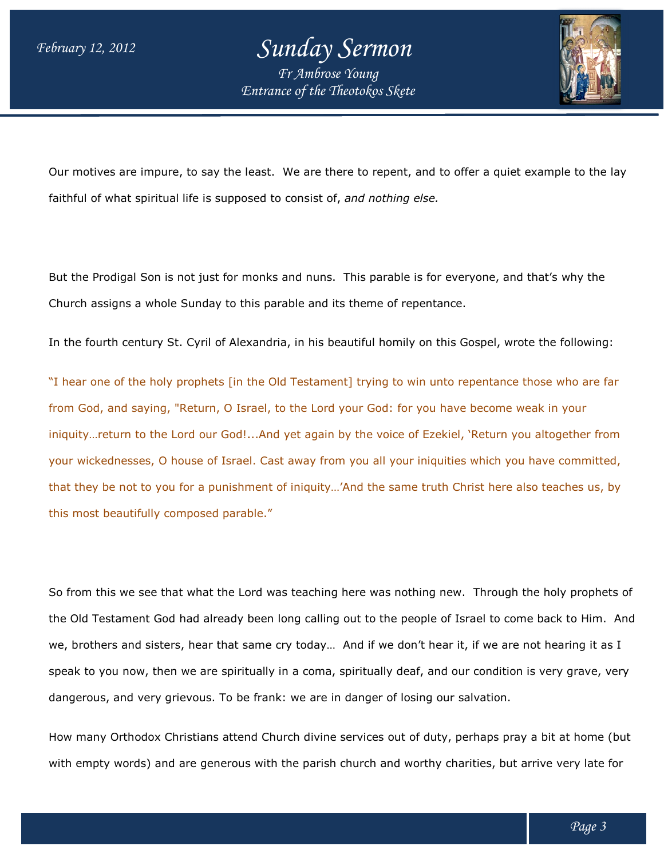# *Sunday Sermon*

*Entrance of the Theotokos Skete Fr Ambrose Young*



Our motives are impure, to say the least. We are there to repent, and to offer a quiet example to the lay faithful of what spiritual life is supposed to consist of, *and nothing else.* 

But the Prodigal Son is not just for monks and nuns. This parable is for everyone, and that's why the Church assigns a whole Sunday to this parable and its theme of repentance.

In the fourth century St. Cyril of Alexandria, in his beautiful homily on this Gospel, wrote the following:

In the fourth century St. Cyril of Alexandria, in his beautiful homily on this Gospel, wrote the following:<br>"I hear one of the holy prophets [in the Old Testament] trying to win unto repentance those who are far from God, and saying, "Return, O Israel, to the Lord your God: for you have become weak in your iniquity…return to the Lord our God!...And yet again by the voice of Ezekiel, 'Return you altogether from your wickednesses, O house of Israel. Cast away from you all your iniquities which you have committed, that they be not to you for a punishment of iniquity…'And the same truth Christ here also teaches us, by this most beautifully composed parable." saying, "Return, O Israel, to the Lord your God: for you have become weak in your<br>1 to the Lord our God!...And yet again by the voice of Ezekiel, 'Return you altogether from<br>5ses, O house of Israel. Cast away from you all

So from this we see that what the Lord was teaching here was nothing new. Through the holy prophets of So from this we see that what the Lord was teaching here was nothing new. Through the holy prophets of<br>the Old Testament God had already been long calling out to the people of Israel to come back to Him. And the Old Testament God had already been long calling out to the people of Israel to come back to Him. Ar<br>we, brothers and sisters, hear that same cry today… And if we don't hear it, if we are not hearing it as I speak to you now, then we are spiritually in a coma, spiritually deaf, and our condition is very grave, very speak to you now, then we are spiritually in a coma, spiritually deaf, and our conditi<br>dangerous, and very grievous. To be frank: we are in danger of losing our salvation.

How many Orthodox Christians attend Church divine services out of duty, perhaps pray a bit at home (but How many Orthodox Christians attend Church divine services out of duty, perhaps pray a bit at home (bu<br>with empty words) and are generous with the parish church and worthy charities, but arrive very late for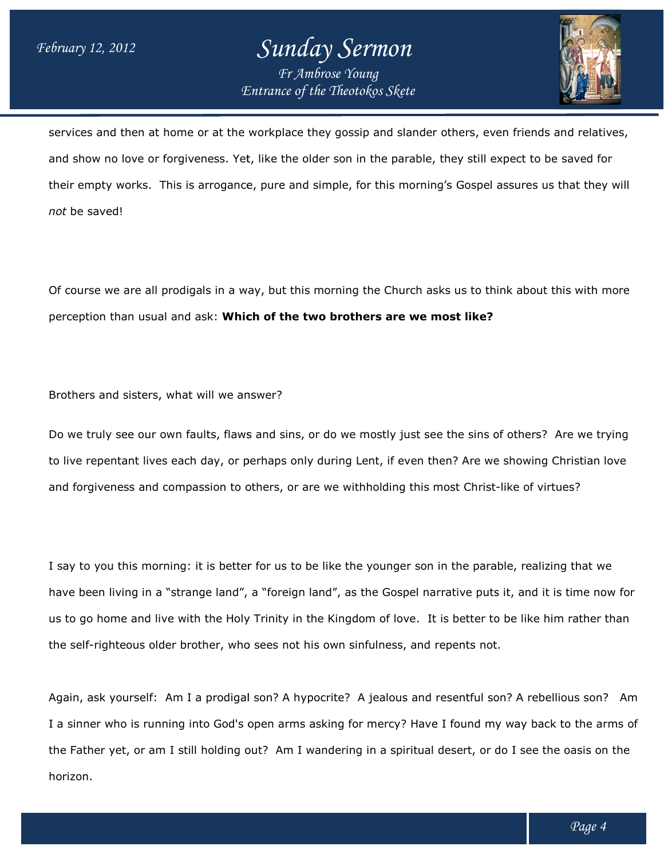### *Entrance of the Theotokos Skete Sunday Sermon Fr Ambrose Young*



services and then at home or at the workplace they gossip and slander others, even friends and relatives, and show no love or forgiveness. Yet, like the older son in the parable, they still expect to be saved for their empty works. This is arrogance, pure and simple, for this morning's Gospel assures us that they will *not* be saved! l show no love or forgiveness. Yet, like the older son in the parable, they still expect to b<br>ir empty works. This is arrogance, pure and simple, for this morning's Gospel assures us<br>t be saved!<br>course we are all prodigals ander others, even<br>rable, they still expe<br>norning's Gospel ass<br>rch asks us to think<br>**we most like?** 

Of course we are all prodigals in a way, but this morning the Church asks us to think about this with more perception than usual and ask: **Which of the two brothers are we most like? the brothers most** 

Brothers and sisters, what will we answer?

Do we truly see our own faults, flaws and sins, or do we mostly just see the sins of others? Are we trying to live repentant lives each day, or perhaps only during Lent, if even then? Are we showing Christian love and forgiveness and compassion to others, or are we withholding this most Christ-like of virtues? Do we truly see our own faults, flaws and sins, or do we mostly just see the sins o<br>to live repentant lives each day, or perhaps only during Lent, if even then? Are we<br>and forgiveness and compassion to others, or are we wi

I say to you this morning: it is better for us to be like the younger son in the parable, realizing that we have been living in a "strange land", a "foreign land", as the Gospel narrative puts it, and it is time now for I say to you this morning: it is better for us to be like the younger son in the parable, realizing that we<br>have been living in a "strange land", a "foreign land", as the Gospel narrative puts it, and it is time now for<br>us the self-righteous older brother, who sees not his own sinfulness, and repents not. us to go home and live with the Holy Trinity in the Kingdom of love. It is better to be like him rather than<br>the self-righteous older brother, who sees not his own sinfulness, and repents not.<br>Again, ask yourself: Am I a p

I a sinner who is running into God's open arms asking for mercy? Have I found my way back to the arms of I a sinner who is running into God's open arms asking for mercy? Have I found my way back to the arms o<br>the Father yet, or am I still holding out? Am I wandering in a spiritual desert, or do I see the oasis on the horizon.